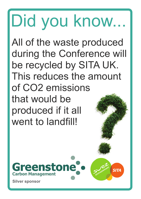# Did you know...

All of the waste produced during the Conference will be recycled by SITA UK. This reduces the amount of CO2 emissions that would be produced if it all went to landfill!



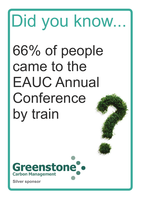## 66% of people came to the EAUC Annual Conference by train Did you know...

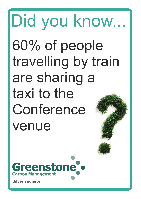### 60% of people travelling by train are sharing a taxi to the Conference venue Did you know...

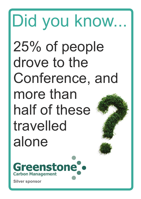### 25% of people drove to the Conference, and more than half of these travelled alone Did you know...

reenstone **Carbon Management**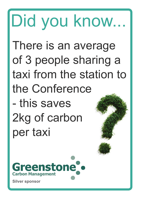#### There is an average of 3 people sharing a taxi from the station to the Conference - this saves 2kg of carbon per taxi Did you know...

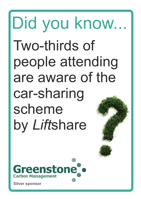### Two-thirds of people attending are aware of the car-sharing scheme by *Lift*share Did you know...

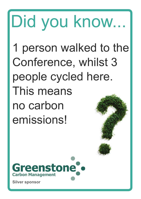# Did you know...

1 person walked to the Conference, whilst 3 people cycled here. This means no carbon emissions!

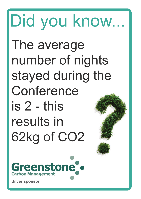#### Did you know... The average number of nights stayed during the Conference is 2 - this results in 62kg of CO2 **reenstone Carbon Management**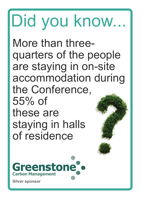# Did you know...

More than threequarters of the people are staying in on-site accommodation during the Conference, 55% of these are staying in halls of residence

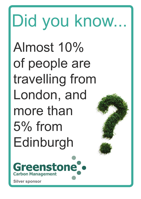### Almost 10% of people are travelling from London, and more than 5% from Edinburgh Did you know...

**reenstone Carbon Management**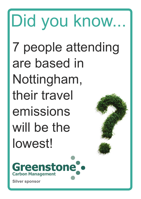### 7 people attending are based in Nottingham, their travel emissions will be the lowest! Did you know...

Greenstone<sup>®</sup> **Carbon Management**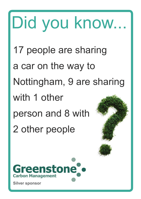17 people are sharing a car on the way to Nottingham, 9 are sharing with 1 other person and 8 with 2 other people Did you know...